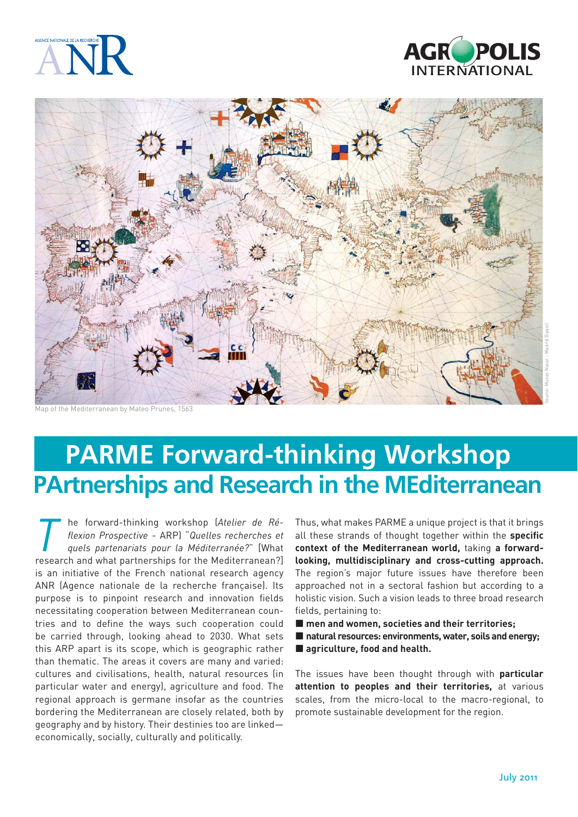





Map of the Mediterranean by Mateo Prunes, 1563

# **PARME Forward-thinking Workshop PArtnerships and Research in the MEditerranean**

**The forward-thinking workshop (Atelier de Ré-<br>** *The flexion Prospective - ARP)* **"***Quelles recherches et***<br>** *The quels partenariats pour la Méditerranée?"* **[What<br>
<b>The Mediterranean?** *fl exion Prospective* - ARP) "*Quelles recherches et quels partenariats pour la Méditerranée?*" [What research and what partnerships for the Mediterranean?] is an initiative of the French national research agency ANR (Agence nationale de la recherche française). Its purpose is to pinpoint research and innovation fields necessitating cooperation between Mediterranean countries and to define the ways such cooperation could be carried through, looking ahead to 2030. What sets this ARP apart is its scope, which is geographic rather than thematic. The areas it covers are many and varied: cultures and civilisations, health, natural resources (in particular water and energy), agriculture and food. The regional approach is germane insofar as the countries bordering the Mediterranean are closely related, both by geography and by history. Their destinies too are linked economically, socially, culturally and politically.

Thus, what makes PARME a unique project is that it brings all these strands of thought together within the specific **context of the Mediterranean world,** taking **a forwardlooking, multidisciplinary and cross-cutting approach.**  The region's major future issues have therefore been approached not in a sectoral fashion but according to a holistic vision. Such a vision leads to three broad research fields, pertaining to:

- men and women, societies and their territories:
- natural resources: environments, water, soils and energy;
- agriculture, food and health.

The issues have been thought through with **particular attention to peoples and their territories,** at various scales, from the micro-local to the macro-regional, to promote sustainable development for the region.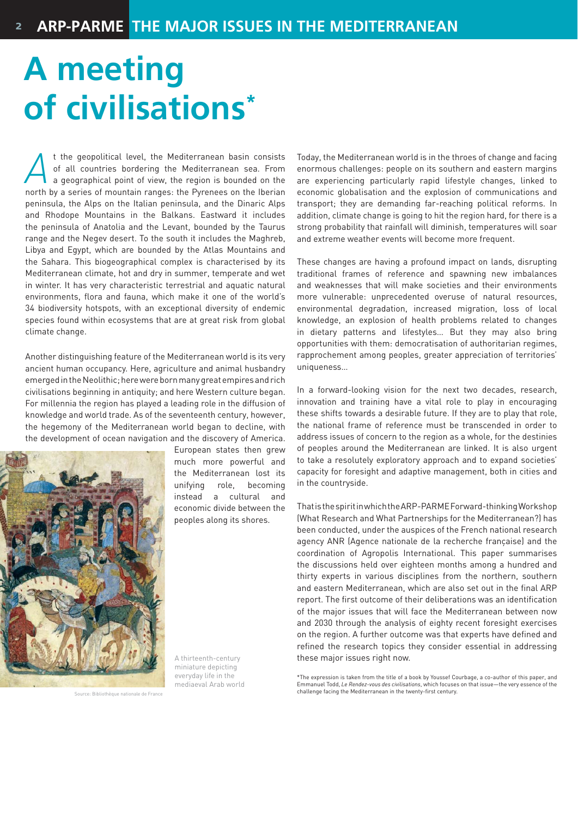# **A meeting of civilisations\***

*A* the geopolitical level, the Mediterranean basin consists<br>of all countries bordering the Mediterranean sea. From<br>a geographical point of view, the region is bounded on the<br>porth by a series of mountain ranges: the Pyren of all countries bordering the Mediterranean sea. From a geographical point of view, the region is bounded on the north by a series of mountain ranges: the Pyrenees on the Iberian peninsula, the Alps on the Italian peninsula, and the Dinaric Alps and Rhodope Mountains in the Balkans. Eastward it includes the peninsula of Anatolia and the Levant, bounded by the Taurus range and the Negev desert. To the south it includes the Maghreb, Libya and Egypt, which are bounded by the Atlas Mountains and the Sahara. This biogeographical complex is characterised by its Mediterranean climate, hot and dry in summer, temperate and wet in winter. It has very characteristic terrestrial and aquatic natural environments, flora and fauna, which make it one of the world's 34 biodiversity hotspots, with an exceptional diversity of endemic species found within ecosystems that are at great risk from global climate change.

Another distinguishing feature of the Mediterranean world is its very ancient human occupancy. Here, agriculture and animal husbandry emerged in the Neolithic; here were born many great empires and rich civilisations beginning in antiquity; and here Western culture began. For millennia the region has played a leading role in the diffusion of knowledge and world trade. As of the seventeenth century, however, the hegemony of the Mediterranean world began to decline, with the development of ocean navigation and the discovery of America.



European states then grew much more powerful and the Mediterranean lost its unifying role, becoming instead a cultural and economic divide between the peoples along its shores.

Source: Bibliothèque nationale de France

A thirteenth-century miniature depicting everyday life in the mediaeval Arab world Today, the Mediterranean world is in the throes of change and facing enormous challenges: people on its southern and eastern margins are experiencing particularly rapid lifestyle changes, linked to economic globalisation and the explosion of communications and transport; they are demanding far-reaching political reforms. In addition, climate change is going to hit the region hard, for there is a strong probability that rainfall will diminish, temperatures will soar and extreme weather events will become more frequent.

These changes are having a profound impact on lands, disrupting traditional frames of reference and spawning new imbalances and weaknesses that will make societies and their environments more vulnerable: unprecedented overuse of natural resources, environmental degradation, increased migration, loss of local knowledge, an explosion of health problems related to changes in dietary patterns and lifestyles… But they may also bring opportunities with them: democratisation of authoritarian regimes, rapprochement among peoples, greater appreciation of territories' uniqueness…

In a forward-looking vision for the next two decades, research, innovation and training have a vital role to play in encouraging these shifts towards a desirable future. If they are to play that role, the national frame of reference must be transcended in order to address issues of concern to the region as a whole, for the destinies of peoples around the Mediterranean are linked. It is also urgent to take a resolutely exploratory approach and to expand societies' capacity for foresight and adaptive management, both in cities and in the countryside.

That is the spirit in which the ARP-PARME Forward-thinking Workshop (What Research and What Partnerships for the Mediterranean?) has been conducted, under the auspices of the French national research agency ANR (Agence nationale de la recherche française) and the coordination of Agropolis International. This paper summarises the discussions held over eighteen months among a hundred and thirty experts in various disciplines from the northern, southern and eastern Mediterranean, which are also set out in the final ARP report. The first outcome of their deliberations was an identification of the major issues that will face the Mediterranean between now and 2030 through the analysis of eighty recent foresight exercises on the region. A further outcome was that experts have defined and refined the research topics they consider essential in addressing these major issues right now.

\*The expression is taken from the title of a book by Youssef Courbage, a co-author of this paper, and Emmanuel Todd, *Le Rendez-vous des civilisations*, which focuses on that issue—the very essence of the challenge facing the Mediterranean in the twenty-first century.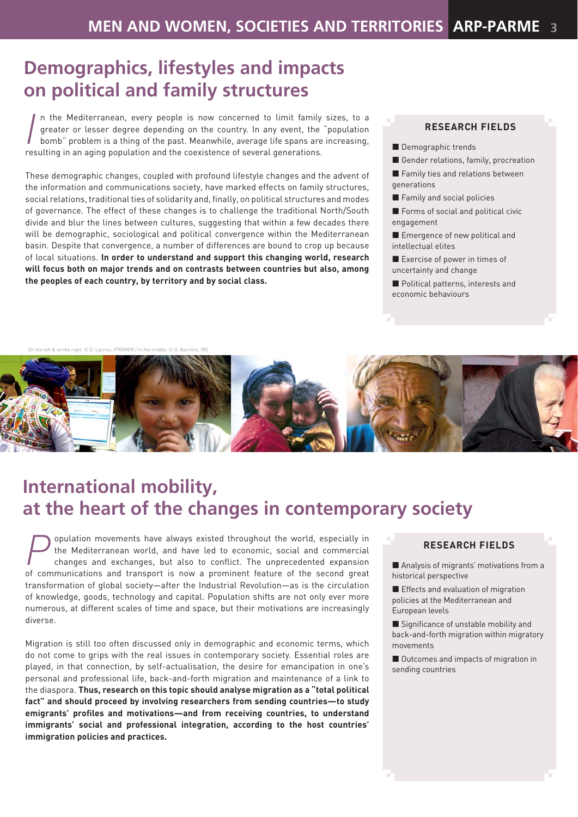## **Demographics, lifestyles and impacts on political and family structures**

In the Mediterranean, every people is now concerned to limit family greater or lesser degree depending on the country. In any event, the bomb" problem is a thing of the past. Meanwhile, average life spans are resulting in n the Mediterranean, every people is now concerned to limit family sizes, to a greater or lesser degree depending on the country. In any event, the "population bomb" problem is a thing of the past. Meanwhile, average life spans are increasing,

These demographic changes, coupled with profound lifestyle changes and the advent of the information and communications society, have marked effects on family structures, social relations, traditional ties of solidarity and, finally, on political structures and modes of governance. The effect of these changes is to challenge the traditional North/South divide and blur the lines between cultures, suggesting that within a few decades there will be demographic, sociological and political convergence within the Mediterranean basin. Despite that convergence, a number of differences are bound to crop up because of local situations. **In order to understand and support this changing world, research will focus both on major trends and on contrasts between countries but also, among the peoples of each country, by territory and by social class.**

#### **RESEARCH FIELDS**

- Demographic trends
- Gender relations, family, procreation
- **Family ties and relations between** generations
- Family and social policies
- Forms of social and political civic engagement
- **Emergence of new political and** intellectual elites
- Exercise of power in times of uncertainty and change
- **Political patterns, interests and** economic behaviours

 $\alpha$  left & on the right: © D. Lacroix, IEREMER / In the



# **International mobility, at the heart of the changes in contemporary society**

**Population movements have always existed throughout the world, especially in the Mediterranean world, and have led to economic, social and commercial changes and exchanges, but also to conflict. The unprecedented expansio** the Mediterranean world, and have led to economic, social and commercial changes and exchanges, but also to conflict. The unprecedented expansion of communications and transport is now a prominent feature of the second great transformation of global society—after the Industrial Revolution—as is the circulation of knowledge, goods, technology and capital. Population shifts are not only ever more numerous, at different scales of time and space, but their motivations are increasingly diverse.

Migration is still too often discussed only in demographic and economic terms, which do not come to grips with the real issues in contemporary society. Essential roles are played, in that connection, by self-actualisation, the desire for emancipation in one's personal and professional life, back-and-forth migration and maintenance of a link to the diaspora. **Thus, research on this topic should analyse migration as a "total political fact" and should proceed by involving researchers from sending countries—to study**  emigrants' profiles and motivations—and from receiving countries, to understand **immigrants' social and professional integration, according to the host countries' immigration policies and practices.**

#### **RESEARCH FIELDS**

Analysis of migrants' motivations from a historical perspective

**Effects and evaluation of migration** policies at the Mediterranean and European levels

 $\blacksquare$  Significance of unstable mobility and back-and-forth migration within migratory movements

■ Outcomes and impacts of migration in sending countries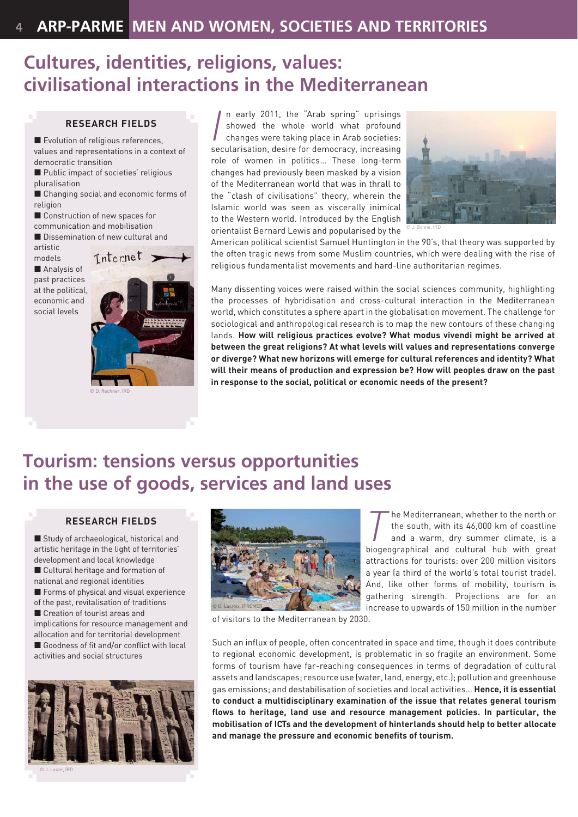### **Cultures, identities, religions, values: civilisational interactions in the Mediterranean**

#### **RESEARCH FIELDS**

**Exolution of religious references,** values and representations in a context of democratic transition

Public impact of societies' religious pluralisation

■ Changing social and economic forms of religion

Construction of new spaces for

communication and mobilisation

Dissemination of new cultural and artistic

models

**Analysis of** past practices at the political, economic and social levels



© D. Rechner, IRD

In early 2011, the "Arab spring" uprisings<br>showed the whole world what profound<br>changes were taking place in Arab societies:<br>secularisation, desire for democracy, increasing n early 2011, the "Arab spring" uprisings showed the whole world what profound changes were taking place in Arab societies: role of women in politics… These long-term changes had previously been masked by a vision of the Mediterranean world that was in thrall to the "clash of civilisations" theory, wherein the Islamic world was seen as viscerally inimical to the Western world. Introduced by the English orientalist Bernard Lewis and popularised by the



© J. Bonne, IRD

American political scientist Samuel Huntington in the 90's, that theory was supported by the often tragic news from some Muslim countries, which were dealing with the rise of religious fundamentalist movements and hard-line authoritarian regimes.

Many dissenting voices were raised within the social sciences community, highlighting the processes of hybridisation and cross-cultural interaction in the Mediterranean world, which constitutes a sphere apart in the globalisation movement. The challenge for sociological and anthropological research is to map the new contours of these changing lands. **How will religious practices evolve? What modus vivendi might be arrived at between the great religions? At what levels will values and representations converge or diverge? What new horizons will emerge for cultural references and identity? What will their means of production and expression be? How will peoples draw on the past in response to the social, political or economic needs of the present?** 

### **Tourism: tensions versus opportunities in the use of goods, services and land uses**

#### **RESEARCH FIELDS**

Study of archaeological, historical and artistic heritage in the light of territories' development and local knowledge ■ Cultural heritage and formation of national and regional identities Forms of physical and visual experience of the past, revitalisation of traditions ■ Creation of tourist areas and implications for resource management and allocation and for territorial development  $\blacksquare$  Goodness of fit and/or conflict with local activities and social structures



© J. Laure, IRD



**The Mediterranean, whether to the north or<br>the south, with its 46,000 km of coastline<br>and a warm, dry summer climate, is a<br>biogeographical and cultural bub with great** the south, with its 46,000 km of coastline and a warm, dry summer climate, is a biogeographical and cultural hub with great attractions for tourists: over 200 million visitors a year (a third of the world's total tourist trade). And, like other forms of mobility, tourism is gathering strength. Projections are for an increase to upwards of 150 million in the number

of visitors to the Mediterranean by 2030.

Such an influx of people, often concentrated in space and time, though it does contribute to regional economic development, is problematic in so fragile an environment. Some forms of tourism have far-reaching consequences in terms of degradation of cultural assets and landscapes; resource use (water, land, energy, etc.); pollution and greenhouse gas emissions; and destabilisation of societies and local activities… **Hence, it is essential to conduct a multidisciplinary examination of the issue that relates general tourism fl ows to heritage, land use and resource management policies. In particular, the mobilisation of ICTs and the development of hinterlands should help to better allocate**  and manage the pressure and economic benefits of tourism.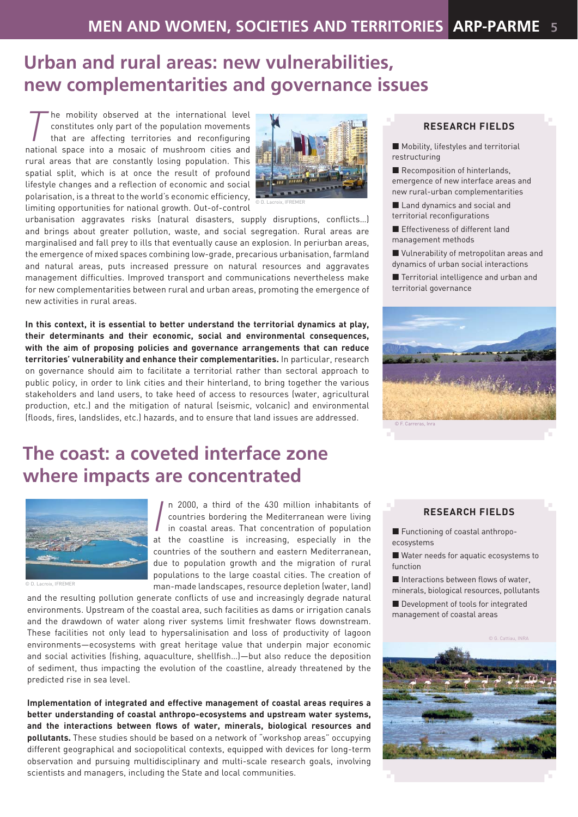### **Urban and rural areas: new vulnerabilities, new complementarities and governance issues**

**The mobility observed at the international level<br>constitutes only part of the population movements<br>that are affecting territories and reconfiguring<br>national space into a mosaic of mushroom cities and** constitutes only part of the population movements that are affecting territories and reconfiguring national space into a mosaic of mushroom cities and rural areas that are constantly losing population. This spatial split, which is at once the result of profound lifestyle changes and a reflection of economic and social polarisation, is a threat to the world's economic efficiency, limiting opportunities for national growth. Out-of-control



urbanisation aggravates risks (natural disasters, supply disruptions, conflicts...) and brings about greater pollution, waste, and social segregation. Rural areas are marginalised and fall prey to ills that eventually cause an explosion. In periurban areas, the emergence of mixed spaces combining low-grade, precarious urbanisation, farmland and natural areas, puts increased pressure on natural resources and aggravates management difficulties. Improved transport and communications nevertheless make for new complementarities between rural and urban areas, promoting the emergence of new activities in rural areas.

**In this context, it is essential to better understand the territorial dynamics at play, their determinants and their economic, social and environmental consequences, with the aim of proposing policies and governance arrangements that can reduce territories' vulnerability and enhance their complementarities.** In particular, research on governance should aim to facilitate a territorial rather than sectoral approach to public policy, in order to link cities and their hinterland, to bring together the various stakeholders and land users, to take heed of access to resources (water, agricultural production, etc.) and the mitigation of natural (seismic, volcanic) and environmental (floods, fires, landslides, etc.) hazards, and to ensure that land issues are addressed.

## **The coast: a coveted interface zone where impacts are concentrated**



© D. Lacroix, IFREMER

n 2000, a third of the 430 million inhabitants of countries bordering the Mediterranean were living in coastla areas. That concentration of population at the coastline is increasing, especially in the n 2000, a third of the 430 million inhabitants of countries bordering the Mediterranean were living in coastal areas. That concentration of population countries of the southern and eastern Mediterranean, due to population growth and the migration of rural populations to the large coastal cities. The creation of man-made landscapes, resource depletion (water, land)

and the resulting pollution generate conflicts of use and increasingly degrade natural environments. Upstream of the coastal area, such facilities as dams or irrigation canals and the drawdown of water along river systems limit freshwater flows downstream. These facilities not only lead to hypersalinisation and loss of productivity of lagoon environments—ecosystems with great heritage value that underpin major economic and social activities (fishing, aquaculture, shellfish...)—but also reduce the deposition of sediment, thus impacting the evolution of the coastline, already threatened by the predicted rise in sea level.

**Implementation of integrated and effective management of coastal areas requires a better understanding of coastal anthropo-ecosystems and upstream water systems,**  and the interactions between flows of water, minerals, biological resources and **pollutants.** These studies should be based on a network of "workshop areas" occupying different geographical and sociopolitical contexts, equipped with devices for long-term observation and pursuing multidisciplinary and multi-scale research goals, involving scientists and managers, including the State and local communities.

#### **RESEARCH FIELDS**

- **Mobility, lifestyles and territorial** restructuring
- Recomposition of hinterlands, emergence of new interface areas and new rural-urban complementarities
- Land dynamics and social and territorial reconfigurations
- **E** Effectiveness of different land management methods
- Vulnerability of metropolitan areas and dynamics of urban social interactions
- Territorial intelligence and urban and territorial governance



#### **RESEARCH FIELDS**

- Functioning of coastal anthropoecosystems
- Water needs for aquatic ecosystems to function
- $\blacksquare$  Interactions between flows of water, minerals, biological resources, pollutants
- Development of tools for integrated management of coastal areas

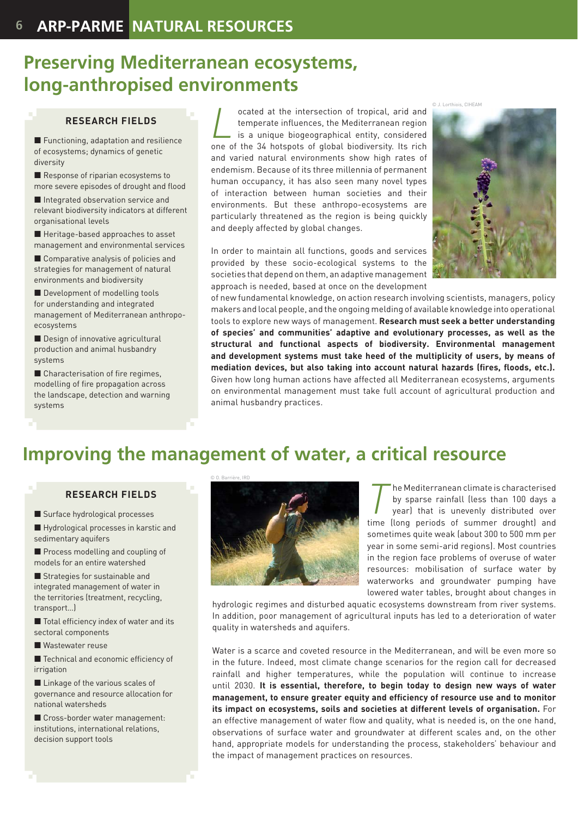### **Preserving Mediterranean ecosystems, long-anthropised environments**

#### **RESEARCH FIELDS**

**Functioning, adaptation and resilience** of ecosystems; dynamics of genetic diversity

Response of riparian ecosystems to more severe episodes of drought and flood

Integrated observation service and relevant biodiversity indicators at different organisational levels

■ Heritage-based approaches to asset management and environmental services

■ Comparative analysis of policies and strategies for management of natural environments and biodiversity

Development of modelling tools for understanding and integrated management of Mediterranean anthropoecosystems

Design of innovative agricultural production and animal husbandry systems

 $\blacksquare$  Characterisation of fire regimes, modelling of fire propagation across the landscape, detection and warning systems

cated at the intersection of tropical, arid and<br>temperate influences, the Mediterranean region<br>is a unique biogeographical entity, considered<br>one of the 34 botspots of global biodiversity. Its rich temperate influences, the Mediterranean region is a unique biogeographical entity, considered one of the 34 hotspots of global biodiversity. Its rich and varied natural environments show high rates of endemism. Because of its three millennia of permanent human occupancy, it has also seen many novel types of interaction between human societies and their environments. But these anthropo-ecosystems are particularly threatened as the region is being quickly and deeply affected by global changes.

In order to maintain all functions, goods and services provided by these socio-ecological systems to the societies that depend on them, an adaptive management approach is needed, based at once on the development



of new fundamental knowledge, on action research involving scientists, managers, policy makers and local people, and the ongoing melding of available knowledge into operational tools to explore new ways of management. **Research must seek a better understanding of species' and communities' adaptive and evolutionary processes, as well as the structural and functional aspects of biodiversity. Environmental management and development systems must take heed of the multiplicity of users, by means of**  mediation devices, but also taking into account natural hazards (fires, floods, etc.). Given how long human actions have affected all Mediterranean ecosystems, arguments on environmental management must take full account of agricultural production and animal husbandry practices.

# **Improving the management of water, a critical resource**

#### **RESEARCH FIELDS**

Surface hydrological processes

Hydrological processes in karstic and sedimentary aquifers

Process modelling and coupling of models for an entire watershed

**Strategies for sustainable and** integrated management of water in the territories (treatment, recycling, transport…)

 $\blacksquare$  Total efficiency index of water and its sectoral components

Wastewater reuse

 $\blacksquare$  Technical and economic efficiency of irrigation

**Linkage of the various scales of** governance and resource allocation for national watersheds

Cross-border water management: institutions, international relations, decision support tools



**T** he Mediterranean climate is characterised<br>by sparse rainfall (less than 100 days a<br>year) that is unevenly distributed over<br>time (long periods of summer drought) and by sparse rainfall (less than 100 days a year) that is unevenly distributed over time (long periods of summer drought) and sometimes quite weak (about 300 to 500 mm per year in some semi-arid regions). Most countries in the region face problems of overuse of water resources: mobilisation of surface water by waterworks and groundwater pumping have lowered water tables, brought about changes in

hydrologic regimes and disturbed aquatic ecosystems downstream from river systems. In addition, poor management of agricultural inputs has led to a deterioration of water quality in watersheds and aquifers.

Water is a scarce and coveted resource in the Mediterranean, and will be even more so in the future. Indeed, most climate change scenarios for the region call for decreased rainfall and higher temperatures, while the population will continue to increase until 2030. **It is essential, therefore, to begin today to design new ways of water**  management, to ensure greater equity and efficiency of resource use and to monitor **its impact on ecosystems, soils and societies at different levels of organisation.** For an effective management of water flow and quality, what is needed is, on the one hand, observations of surface water and groundwater at different scales and, on the other hand, appropriate models for understanding the process, stakeholders' behaviour and the impact of management practices on resources.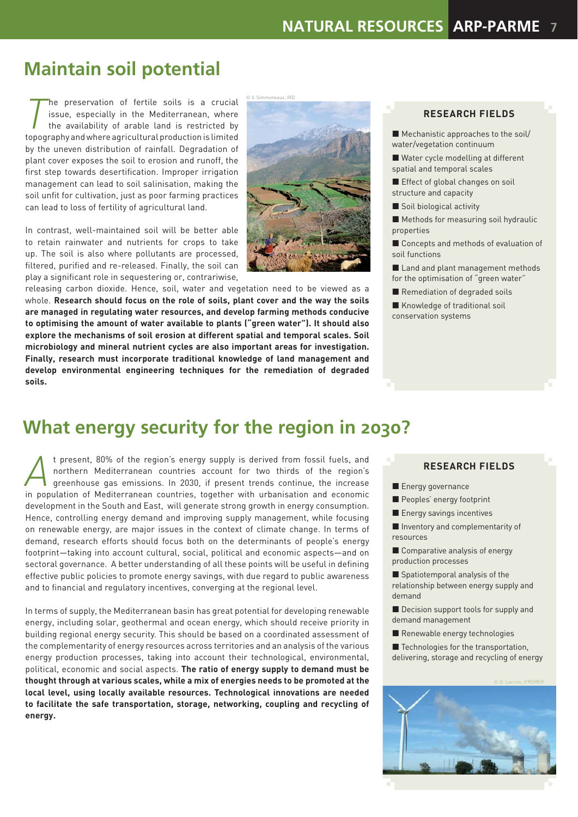### **Maintain soil potential**

The preservation of fertile soils is a crucial<br>issue, especially in the Mediterranean, where<br>the availability of arable land is restricted by<br>topography and where agricultural production is limited issue, especially in the Mediterranean, where the availability of arable land is restricted by topography and where agricultural production is limited by the uneven distribution of rainfall. Degradation of plant cover exposes the soil to erosion and runoff, the first step towards desertification. Improper irrigation management can lead to soil salinisation, making the soil unfit for cultivation, just as poor farming practices can lead to loss of fertility of agricultural land.

In contrast, well-maintained soil will be better able to retain rainwater and nutrients for crops to take up. The soil is also where pollutants are processed, filtered, purified and re-released. Finally, the soil can play a significant role in sequestering or, contrariwise,

© V. Simmoneaux, IRD

releasing carbon dioxide. Hence, soil, water and vegetation need to be viewed as a whole. **Research should focus on the role of soils, plant cover and the way the soils are managed in regulating water resources, and develop farming methods conducive to optimising the amount of water available to plants ("green water"). It should also explore the mechanisms of soil erosion at different spatial and temporal scales. Soil microbiology and mineral nutrient cycles are also important areas for investigation. Finally, research must incorporate traditional knowledge of land management and develop environmental engineering techniques for the remediation of degraded soils.** 

#### **RESEARCH FIELDS**

- Mechanistic approaches to the soil/ water/vegetation continuum
- Water cycle modelling at different spatial and temporal scales
- Effect of global changes on soil structure and capacity
- Soil biological activity
- Methods for measuring soil hydraulic properties
- Concepts and methods of evaluation of soil functions
- Land and plant management methods for the optimisation of "green water"
- Remediation of degraded soils
- Knowledge of traditional soil conservation systems

### **What energy security for the region in 2030?**

*A* t present, 80% of the region's energy supply is derived from fossil fuels, and northern Mediterranean countries account for two thirds of the region's greenhouse gas emissions. In 2030, if present trends continue, the northern Mediterranean countries account for two thirds of the region's greenhouse gas emissions. In 2030, if present trends continue, the increase in population of Mediterranean countries, together with urbanisation and economic development in the South and East, will generate strong growth in energy consumption. Hence, controlling energy demand and improving supply management, while focusing on renewable energy, are major issues in the context of climate change. In terms of demand, research efforts should focus both on the determinants of people's energy footprint—taking into account cultural, social, political and economic aspects—and on sectoral governance. A better understanding of all these points will be useful in defining effective public policies to promote energy savings, with due regard to public awareness and to financial and regulatory incentives, converging at the regional level.

In terms of supply, the Mediterranean basin has great potential for developing renewable energy, including solar, geothermal and ocean energy, which should receive priority in building regional energy security. This should be based on a coordinated assessment of the complementarity of energy resources across territories and an analysis of the various energy production processes, taking into account their technological, environmental, political, economic and social aspects. **The ratio of energy supply to demand must be thought through at various scales, while a mix of energies needs to be promoted at the local level, using locally available resources. Technological innovations are needed to facilitate the safe transportation, storage, networking, coupling and recycling of energy.** 

#### **RESEARCH FIELDS**

- Energy governance
- Peoples' energy footprint
- **Energy savings incentives**
- **Inventory and complementarity of** resources
- Comparative analysis of energy production processes
- Spatiotemporal analysis of the relationship between energy supply and demand
- Decision support tools for supply and demand management
- Renewable energy technologies
- Technologies for the transportation. delivering, storage and recycling of energy

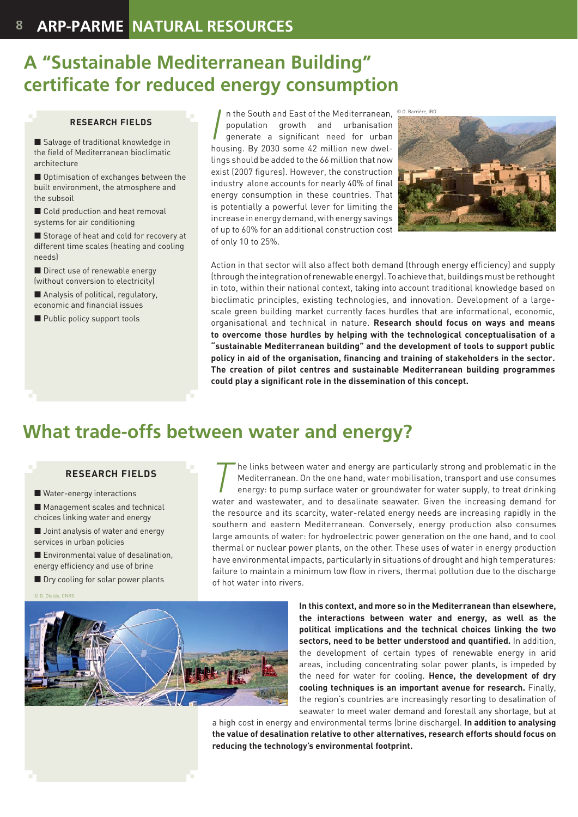### **A "Sustainable Mediterranean Building" certificate for reduced energy consumption**

#### **RESEARCH FIELDS**

■ Salvage of traditional knowledge in the field of Mediterranean bioclimatic architecture

Optimisation of exchanges between the built environment, the atmosphere and the subsoil

Cold production and heat removal systems for air conditioning

Storage of heat and cold for recovery at different time scales (heating and cooling needs)

Direct use of renewable energy (without conversion to electricity)

Analysis of political, regulatory, economic and financial issues

**Public policy support tools** 

In the South and East of the Mediterranean,<br>
population growth and urbanisation<br>
penerate a significant need for urban<br>
housing. By 2030 some 42 million new dweln the South and East of the Mediterranean, <sup>© O. Barrière, IRD</sup> population growth and urbanisation generate a significant need for urban lings should be added to the 66 million that now exist (2007 figures). However, the construction industry alone accounts for nearly 40% of final energy consumption in these countries. That is potentially a powerful lever for limiting the increase in energy demand, with energy savings of up to 60% for an additional construction cost of only 10 to 25%.



Action in that sector will also affect both demand (through energy efficiency) and supply (through the integration of renewable energy). To achieve that, buildings must be rethought in toto, within their national context, taking into account traditional knowledge based on bioclimatic principles, existing technologies, and innovation. Development of a largescale green building market currently faces hurdles that are informational, economic, organisational and technical in nature. **Research should focus on ways and means to overcome those hurdles by helping with the technological conceptualisation of a "sustainable Mediterranean building" and the development of tools to support public**  policy in aid of the organisation, financing and training of stakeholders in the sector. **The creation of pilot centres and sustainable Mediterranean building programmes**  could play a significant role in the dissemination of this concept.

### **What trade-offs between water and energy?**

#### **RESEARCH FIELDS**

Water-energy interactions

**Management scales and technical** choices linking water and energy

**Joint analysis of water and energy** services in urban policies

**Environmental value of desalination.** energy efficiency and use of brine

**Dry cooling for solar power plants** 

© G. Olalde, CNRS

The links between water and energy are particularly strong and problematic in the<br>Mediterranean. On the one hand, water mobilisation, transport and use consumes<br>energy: to pump surface water or groundwater for water supply Mediterranean. On the one hand, water mobilisation, transport and use consumes energy: to pump surface water or groundwater for water supply, to treat drinking water and wastewater, and to desalinate seawater. Given the increasing demand for the resource and its scarcity, water-related energy needs are increasing rapidly in the southern and eastern Mediterranean. Conversely, energy production also consumes large amounts of water: for hydroelectric power generation on the one hand, and to cool thermal or nuclear power plants, on the other. These uses of water in energy production have environmental impacts, particularly in situations of drought and high temperatures: failure to maintain a minimum low flow in rivers, thermal pollution due to the discharge of hot water into rivers.



**In this context, and more so in the Mediterranean than elsewhere, the interactions between water and energy, as well as the political implications and the technical choices linking the two**  sectors, need to be better understood and quantified. In addition, the development of certain types of renewable energy in arid areas, including concentrating solar power plants, is impeded by the need for water for cooling. **Hence, the development of dry cooling techniques is an important avenue for research.** Finally, the region's countries are increasingly resorting to desalination of seawater to meet water demand and forestall any shortage, but at

a high cost in energy and environmental terms (brine discharge). **In addition to analysing the value of desalination relative to other alternatives, research efforts should focus on reducing the technology's environmental footprint.**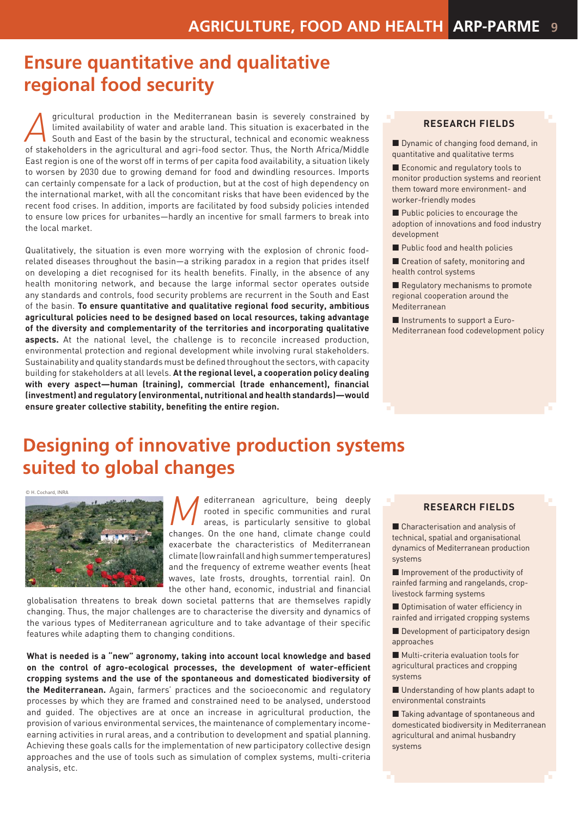### **Ensure quantitative and qualitative regional food security**

*A*gricultural production in the Mediterranean basin is severely constrained by limited availability of water and arable land. This situation is exacerbated in the South and East of the basin by the structural, technical and economic weakness of stakeholders in the agricultural and agri-food sector. Thus, the North Africa/Middle East region is one of the worst off in terms of per capita food availability, a situation likely to worsen by 2030 due to growing demand for food and dwindling resources. Imports can certainly compensate for a lack of production, but at the cost of high dependency on the international market, with all the concomitant risks that have been evidenced by the recent food crises. In addition, imports are facilitated by food subsidy policies intended to ensure low prices for urbanites—hardly an incentive for small farmers to break into the local market.

Qualitatively, the situation is even more worrying with the explosion of chronic foodrelated diseases throughout the basin—a striking paradox in a region that prides itself on developing a diet recognised for its health benefits. Finally, in the absence of any health monitoring network, and because the large informal sector operates outside any standards and controls, food security problems are recurrent in the South and East of the basin. **To ensure quantitative and qualitative regional food security, ambitious agricultural policies need to be designed based on local resources, taking advantage of the diversity and complementarity of the territories and incorporating qualitative aspects.** At the national level, the challenge is to reconcile increased production, environmental protection and regional development while involving rural stakeholders. Sustainability and quality standards must be defined throughout the sectors, with capacity building for stakeholders at all levels. **At the regional level, a cooperation policy dealing**  with every aspect-human (training), commercial (trade enhancement), financial **(investment) and regulatory (environmental, nutritional and health standards)—would**  ensure greater collective stability, benefiting the entire region.

#### **RESEARCH FIELDS**

Dynamic of changing food demand, in quantitative and qualitative terms

Economic and regulatory tools to monitor production systems and reorient them toward more environment- and worker-friendly modes

Public policies to encourage the adoption of innovations and food industry development

Public food and health policies

Creation of safety, monitoring and health control systems

Regulatory mechanisms to promote regional cooperation around the Mediterranean

■ Instruments to support a Euro-Mediterranean food codevelopment policy

### **Designing of innovative production systems suited to global changes**

© H. Cochard, INRA



*M*editerranean agriculture, being deeply<br>rooted in specific communities and rural<br>areas, is particularly sensitive to global<br>changes On the one hand climate change could rooted in specific communities and rural areas, is particularly sensitive to global changes. On the one hand, climate change could exacerbate the characteristics of Mediterranean climate (low rainfall and high summer temperatures) and the frequency of extreme weather events (heat waves, late frosts, droughts, torrential rain). On the other hand, economic, industrial and financial

globalisation threatens to break down societal patterns that are themselves rapidly changing. Thus, the major challenges are to characterise the diversity and dynamics of the various types of Mediterranean agriculture and to take advantage of their specific features while adapting them to changing conditions.

**What is needed is a "new" agronomy, taking into account local knowledge and based**  on the control of agro-ecological processes, the development of water-efficient **cropping systems and the use of the spontaneous and domesticated biodiversity of the Mediterranean.** Again, farmers' practices and the socioeconomic and regulatory processes by which they are framed and constrained need to be analysed, understood and guided. The objectives are at once an increase in agricultural production, the provision of various environmental services, the maintenance of complementary incomeearning activities in rural areas, and a contribution to development and spatial planning. Achieving these goals calls for the implementation of new participatory collective design approaches and the use of tools such as simulation of complex systems, multi-criteria analysis, etc.

#### **RESEARCH FIELDS**

■ Characterisation and analysis of technical, spatial and organisational dynamics of Mediterranean production systems

Improvement of the productivity of rainfed farming and rangelands, croplivestock farming systems

 $\blacksquare$  Optimisation of water efficiency in rainfed and irrigated cropping systems

Development of participatory design approaches

**Multi-criteria evaluation tools for** agricultural practices and cropping systems

■ Understanding of how plants adapt to environmental constraints

■ Taking advantage of spontaneous and domesticated biodiversity in Mediterranean agricultural and animal husbandry systems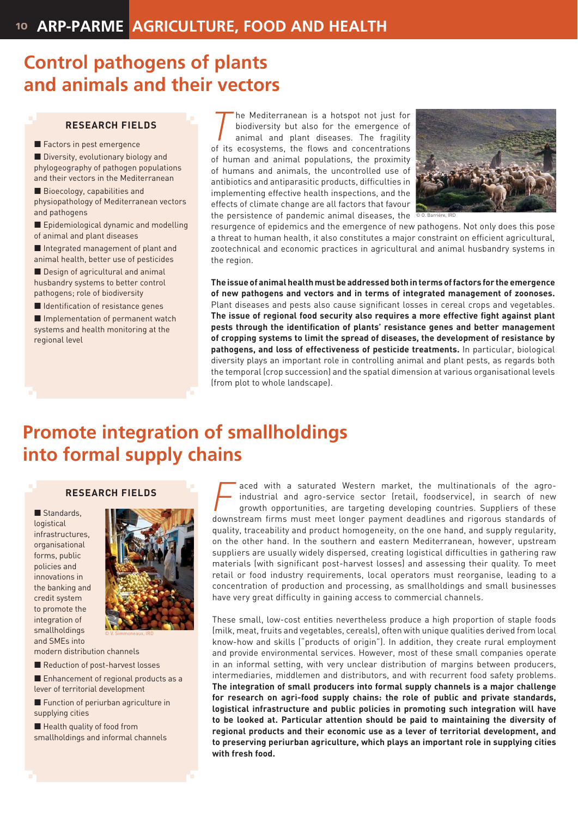### **Control pathogens of plants and animals and their vectors**

#### **RESEARCH FIELDS**

Factors in pest emergence

Diversity, evolutionary biology and phylogeography of pathogen populations and their vectors in the Mediterranean

Bioecology, capabilities and physiopathology of Mediterranean vectors and pathogens

**Epidemiological dynamic and modelling** of animal and plant diseases

■ Integrated management of plant and animal health, better use of pesticides

Design of agricultural and animal husbandry systems to better control pathogens; role of biodiversity

 $\blacksquare$  Identification of resistance genes

**Implementation of permanent watch** systems and health monitoring at the regional level

The Mediterranean is a hotspot not just for<br>biodiversity but also for the emergence of<br>animal and plant diseases. The fragility<br>of its ecosystems, the flows and concentrations biodiversity but also for the emergence of animal and plant diseases. The fragility of its ecosystems, the flows and concentrations of human and animal populations, the proximity of humans and animals, the uncontrolled use of antibiotics and antiparasitic products, difficulties in implementing effective health inspections, and the effects of climate change are all factors that favour the persistence of pandemic animal diseases, the



resurgence of epidemics and the emergence of new pathogens. Not only does this pose a threat to human health, it also constitutes a major constraint on efficient agricultural, zootechnical and economic practices in agricultural and animal husbandry systems in the region.

**The issue of animal health must be addressed both in terms of factors for the emergence of new pathogens and vectors and in terms of integrated management of zoonoses.**  Plant diseases and pests also cause significant losses in cereal crops and vegetables. The issue of regional food security also requires a more effective fight against plant pests through the identification of plants' resistance genes and better management **of cropping systems to limit the spread of diseases, the development of resistance by pathogens, and loss of effectiveness of pesticide treatments.** In particular, biological diversity plays an important role in controlling animal and plant pests, as regards both the temporal (crop succession) and the spatial dimension at various organisational levels (from plot to whole landscape).

### **Promote integration of smallholdings into formal supply chains**

#### **RESEARCH FIELDS**

Standards logistical infrastructures, organisational forms, public policies and innovations in the banking and credit system to promote the integration of smallholdings and SMEs into



modern distribution channels

Reduction of post-harvest losses

Enhancement of regional products as a lever of territorial development

**Function of periurban agriculture in** supplying cities

Health quality of food from smallholdings and informal channels

aced with a saturated Western market, the multinationals of the agroindustrial and agro-service sector (retail, foodservice), in search of new growth opportunities, are targeting developing countries. Suppliers of these downstream firms must meet longer payment deadlines and rigorous standards of quality, traceability and product homogeneity, on the one hand, and supply regularity, on the other hand. In the southern and eastern Mediterranean, however, upstream suppliers are usually widely dispersed, creating logistical difficulties in gathering raw materials (with significant post-harvest losses) and assessing their quality. To meet retail or food industry requirements, local operators must reorganise, leading to a concentration of production and processing, as smallholdings and small businesses have very great difficulty in gaining access to commercial channels.

These small, low-cost entities nevertheless produce a high proportion of staple foods (milk, meat, fruits and vegetables, cereals), often with unique qualities derived from local know-how and skills ("products of origin"). In addition, they create rural employment and provide environmental services. However, most of these small companies operate in an informal setting, with very unclear distribution of margins between producers, intermediaries, middlemen and distributors, and with recurrent food safety problems. **The integration of small producers into formal supply channels is a major challenge for research on agri-food supply chains: the role of public and private standards, logistical infrastructure and public policies in promoting such integration will have to be looked at. Particular attention should be paid to maintaining the diversity of regional products and their economic use as a lever of territorial development, and to preserving periurban agriculture, which plays an important role in supplying cities with fresh food.**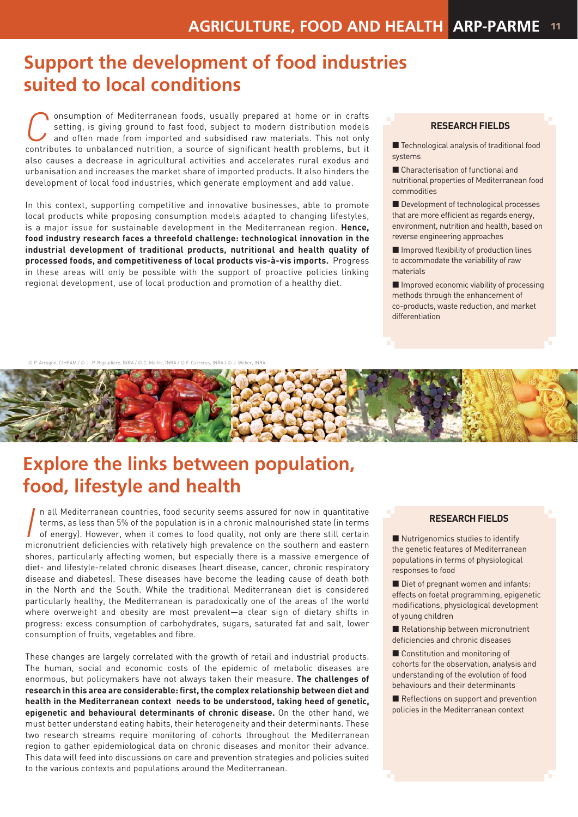### **Support the development of food industries suited to local conditions**

**Consumption of Mediterranean foods, usually prepared at home or in crafts** setting, is giving ground to fast food, subject to modern distribution models and often made from imported and subsidised raw materials. This not setting, is giving ground to fast food, subject to modern distribution models and often made from imported and subsidised raw materials. This not only contributes to unbalanced nutrition, a source of significant health problems, but it also causes a decrease in agricultural activities and accelerates rural exodus and urbanisation and increases the market share of imported products. It also hinders the development of local food industries, which generate employment and add value.

In this context, supporting competitive and innovative businesses, able to promote local products while proposing consumption models adapted to changing lifestyles, is a major issue for sustainable development in the Mediterranean region. **Hence, food industry research faces a threefold challenge: technological innovation in the industrial development of traditional products, nutritional and health quality of processed foods, and competitiveness of local products vis-à-vis imports.** Progress in these areas will only be possible with the support of proactive policies linking regional development, use of local production and promotion of a healthy diet.

#### **RESEARCH FIELDS**

■ Technological analysis of traditional food systems

■ Characterisation of functional and nutritional properties of Mediterranean food commodities

Development of technological processes that are more efficient as regards energy. environment, nutrition and health, based on reverse engineering approaches

 $\blacksquare$  Improved flexibility of production lines to accommodate the variability of raw materials

 $\blacksquare$  Improved economic viability of processing methods through the enhancement of co-products, waste reduction, and market differentiation

© P. Arragon, CIHEAM / © J.-P. Rigaudière, INRA / © C. Maitre, INRA / © F. Carreras, INRA / © J. Weber, INRA



## **Explore the links between population, food, lifestyle and health**

In all Mediterranean countries, food security seems assured for now in quantitative<br>terms, as less than 5% of the population is in a chronic malnourished state (in terms<br>of energy). However, when it comes to food quality, n all Mediterranean countries, food security seems assured for now in quantitative terms, as less than 5% of the population is in a chronic malnourished state (in terms of energy). However, when it comes to food quality, not only are there still certain shores, particularly affecting women, but especially there is a massive emergence of diet- and lifestyle-related chronic diseases (heart disease, cancer, chronic respiratory disease and diabetes). These diseases have become the leading cause of death both in the North and the South. While the traditional Mediterranean diet is considered particularly healthy, the Mediterranean is paradoxically one of the areas of the world where overweight and obesity are most prevalent—a clear sign of dietary shifts in progress: excess consumption of carbohydrates, sugars, saturated fat and salt, lower consumption of fruits, vegetables and fibre.

These changes are largely correlated with the growth of retail and industrial products. The human, social and economic costs of the epidemic of metabolic diseases are enormous, but policymakers have not always taken their measure. **The challenges of**  research in this area are considerable: first, the complex relationship between diet and **health in the Mediterranean context needs to be understood, taking heed of genetic, epigenetic and behavioural determinants of chronic disease.** On the other hand, we must better understand eating habits, their heterogeneity and their determinants. These two research streams require monitoring of cohorts throughout the Mediterranean region to gather epidemiological data on chronic diseases and monitor their advance. This data will feed into discussions on care and prevention strategies and policies suited to the various contexts and populations around the Mediterranean.

### **RESEARCH FIELDS**

Nutrigenomics studies to identify the genetic features of Mediterranean populations in terms of physiological responses to food

Diet of pregnant women and infants: effects on foetal programming, epigenetic modifications, physiological development of young children

Relationship between micronutrient deficiencies and chronic diseases

Constitution and monitoring of cohorts for the observation, analysis and understanding of the evolution of food behaviours and their determinants

 $\blacksquare$  Reflections on support and prevention policies in the Mediterranean context